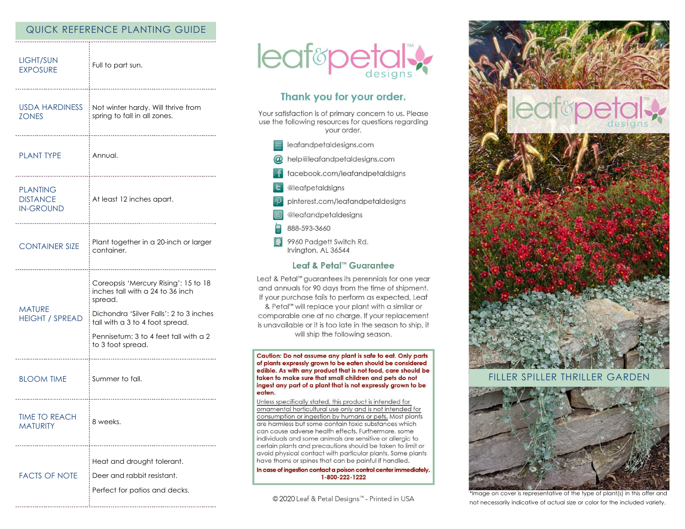# QUICK REFERENCE PLANTING GUIDE

| LIGHT/SUN<br><b>EXPOSURE</b>                           | Full to part sun.                                                                                                                                                                                                               |
|--------------------------------------------------------|---------------------------------------------------------------------------------------------------------------------------------------------------------------------------------------------------------------------------------|
| <b>USDA HARDINESS</b><br><b>ZONES</b>                  | Not winter hardy. Will thrive from<br>spring to fall in all zones.                                                                                                                                                              |
| <b>PLANT TYPE</b>                                      | Annual.                                                                                                                                                                                                                         |
| <b>PLANTING</b><br><b>DISTANCE</b><br><b>IN-GROUND</b> | At least 12 inches apart.                                                                                                                                                                                                       |
| <b>CONTAINER SIZE</b>                                  | Plant together in a 20-inch or larger<br>container.                                                                                                                                                                             |
| <b>MATURE</b><br><b>HEIGHT / SPREAD</b>                | Coreopsis 'Mercury Rising': 15 to 18<br>inches tall with a 24 to 36 inch<br>spread.<br>Dichondra 'Silver Falls': 2 to 3 inches<br>tall with a 3 to 4 foot spread.<br>Pennisetum: 3 to 4 feet tall with a 2<br>to 3 foot spread. |
| <b>BLOOM TIME</b>                                      | Summer to fall.                                                                                                                                                                                                                 |
| <b>TIME TO REACH</b><br><b>MATURITY</b>                | 8 weeks.                                                                                                                                                                                                                        |
| <b>FACTS OF NOTE</b>                                   | Heat and drought tolerant.<br>Deer and rabbit resistant.<br>Perfect for patios and decks.                                                                                                                                       |



# Thank you for your order.

Your satisfaction is of primary concern to us. Please use the following resources for questions regarding your order.

- $\equiv$  leafandpetaldesigns.com
- @ help@leafandpetaldesigns.com
- facebook.com/leafandpetaldsigns
- **L** @leafpetaldsigns
- pinterest.com/leafandpetaldesigns
- @leafandpetaldesigns
- 888-593-3660
- 9960 Padgett Switch Rd. Irvington, AL 36544

### Leaf & Petal™ Guarantee

Leaf & Petal™ guarantees its perennials for one year and annuals for 90 days from the time of shipment. If your purchase fails to perform as expected, Leaf & Petal<sup>™</sup> will replace your plant with a similar or comparable one at no charge. If your replacement

is unavailable or it is too late in the season to ship, it will ship the following season.

Caution: Do not assume any plant is safe to eat. Only parts of plants expressly grown to be eaten should be considered edible. As with any product that is not food, care should be taken to make sure that small children and pets do not ingest any part of a plant that is not expressly grown to be eaten.

Unless specifically stated, this product is intended for ornamental horticultural use only and is not intended for consumption or ingestion by humans or pets. Most plants are harmless but some contain toxic substances which can cause adverse health effects. Furthermore, some individuals and some animals are sensitive or allergic to certain plants and precautions should be taken to limit or avoid physical contact with particular plants. Some plants have thorns or spines that can be painful if handled.

In case of ingestion contact a poison control center immediately. 1-800-222-1222

© 2020 Leaf & Petal Designs™ - Printed in USA



### FILLER SPILLER THRILLER GARDEN



\*Image on cover is representative of the type of plant(s) in this offer and not necessarily indicative of actual size or color for the included variety.